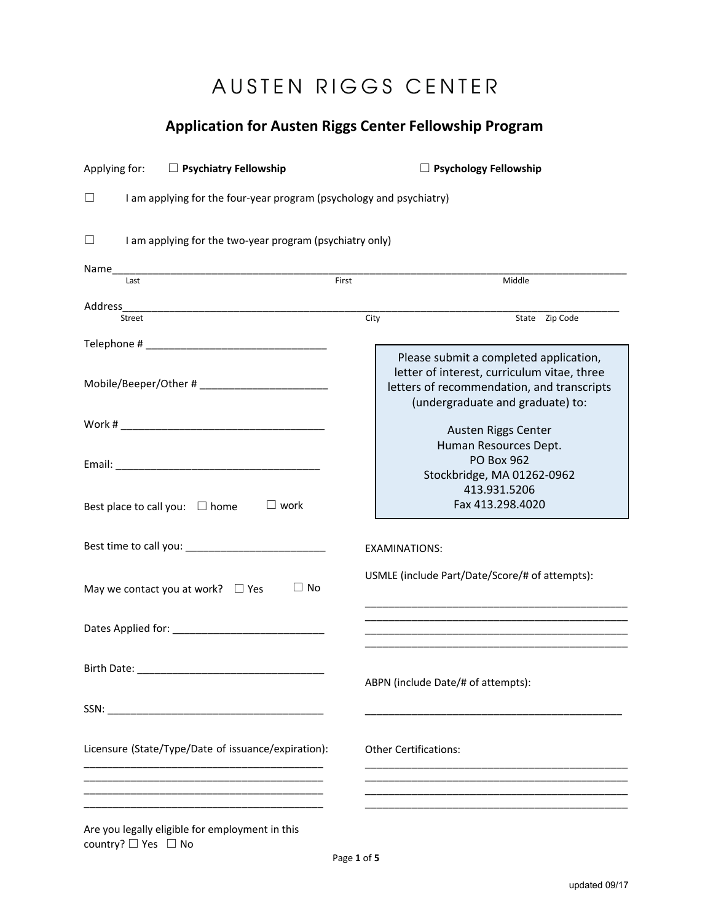# AUSTEN RIGGS CENTER

# **Application for Austen Riggs Center Fellowship Program**

| □ Psychiatry Fellowship<br>Applying for:                                                                                      | $\Box$ Psychology Fellowship |                                                                                                                                                                         |  |
|-------------------------------------------------------------------------------------------------------------------------------|------------------------------|-------------------------------------------------------------------------------------------------------------------------------------------------------------------------|--|
| I am applying for the four-year program (psychology and psychiatry)<br>Ш                                                      |                              |                                                                                                                                                                         |  |
| I am applying for the two-year program (psychiatry only)<br>$\Box$                                                            |                              |                                                                                                                                                                         |  |
| Name<br><u> 1989 - Johann John Stone, markin film yn y brening yn y brening yn y brening yn y brening yn y brening yn y b</u> |                              |                                                                                                                                                                         |  |
| Last                                                                                                                          | First                        | Middle                                                                                                                                                                  |  |
|                                                                                                                               |                              |                                                                                                                                                                         |  |
| Street                                                                                                                        | City                         | State Zip Code                                                                                                                                                          |  |
|                                                                                                                               |                              |                                                                                                                                                                         |  |
|                                                                                                                               |                              | Please submit a completed application,<br>letter of interest, curriculum vitae, three<br>letters of recommendation, and transcripts<br>(undergraduate and graduate) to: |  |
|                                                                                                                               |                              | Austen Riggs Center                                                                                                                                                     |  |
|                                                                                                                               |                              | Human Resources Dept.<br><b>PO Box 962</b><br>Stockbridge, MA 01262-0962                                                                                                |  |
| $\Box$ work<br>Best place to call you: $\Box$ home                                                                            |                              | 413.931.5206<br>Fax 413.298.4020                                                                                                                                        |  |
|                                                                                                                               |                              | <b>EXAMINATIONS:</b>                                                                                                                                                    |  |
| $\Box$ No<br>May we contact you at work? $\Box$ Yes                                                                           |                              | USMLE (include Part/Date/Score/# of attempts):<br><u> 1989 - Johann John Stoff, deutscher Stoffen und der Stoffen und der Stoffen und der Stoffen und der Stoffen</u>   |  |
|                                                                                                                               |                              |                                                                                                                                                                         |  |
|                                                                                                                               |                              | ABPN (include Date/# of attempts):                                                                                                                                      |  |
|                                                                                                                               |                              |                                                                                                                                                                         |  |
| Licensure (State/Type/Date of issuance/expiration):                                                                           |                              | <b>Other Certifications:</b>                                                                                                                                            |  |
|                                                                                                                               |                              |                                                                                                                                                                         |  |
| Are you legally eligible for employment in this<br>country? $\Box$ Yes $\Box$ No                                              |                              |                                                                                                                                                                         |  |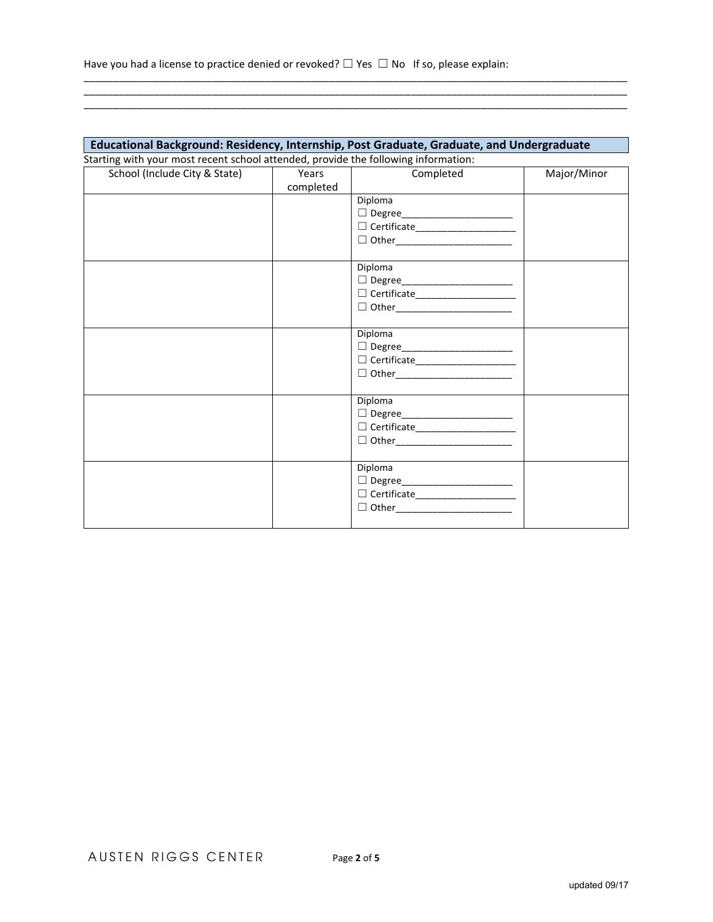## **Educational Background: Residency, Internship, Post Graduate, Graduate, and Undergraduate** Starting with your most recent school attended, provide the following information:

\_\_\_\_\_\_\_\_\_\_\_\_\_\_\_\_\_\_\_\_\_\_\_\_\_\_\_\_\_\_\_\_\_\_\_\_\_\_\_\_\_\_\_\_\_\_\_\_\_\_\_\_\_\_\_\_\_\_\_\_\_\_\_\_\_\_\_\_\_\_\_\_\_\_\_\_\_\_\_\_\_\_\_\_\_\_\_\_\_\_\_\_\_ \_\_\_\_\_\_\_\_\_\_\_\_\_\_\_\_\_\_\_\_\_\_\_\_\_\_\_\_\_\_\_\_\_\_\_\_\_\_\_\_\_\_\_\_\_\_\_\_\_\_\_\_\_\_\_\_\_\_\_\_\_\_\_\_\_\_\_\_\_\_\_\_\_\_\_\_\_\_\_\_\_\_\_\_\_\_\_\_\_\_\_\_\_ \_\_\_\_\_\_\_\_\_\_\_\_\_\_\_\_\_\_\_\_\_\_\_\_\_\_\_\_\_\_\_\_\_\_\_\_\_\_\_\_\_\_\_\_\_\_\_\_\_\_\_\_\_\_\_\_\_\_\_\_\_\_\_\_\_\_\_\_\_\_\_\_\_\_\_\_\_\_\_\_\_\_\_\_\_\_\_\_\_\_\_\_\_

| School (Include City & State) | Years     | Completed                                                                                                                                                                                                                                                                                                                                                                                                                                                 | Major/Minor |
|-------------------------------|-----------|-----------------------------------------------------------------------------------------------------------------------------------------------------------------------------------------------------------------------------------------------------------------------------------------------------------------------------------------------------------------------------------------------------------------------------------------------------------|-------------|
|                               | completed |                                                                                                                                                                                                                                                                                                                                                                                                                                                           |             |
|                               |           | Diploma                                                                                                                                                                                                                                                                                                                                                                                                                                                   |             |
|                               |           | □ Degree________________________                                                                                                                                                                                                                                                                                                                                                                                                                          |             |
|                               |           | $\hfill\Box\;\hfill\Box\;\hfill\Box\;\hfill\Box\;\hfill\Box\;\hfill\Box\;\hfill\Box\;\hfill\Box\;\hfill\Box\;\hfill\Box\;\hfill\Box\;\hfill\Box\;\hfill\Box\;\hfill\Box\;\hfill\Box\;\hfill\Box\;\hfill\Box\;\hfill\Box\;\hfill\Box\;\hfill\Box\;\hfill\Box\;\hfill\Box\;\hfill\Box\;\hfill\Box\;\hfill\Box\;\hfill\Box\;\hfill\Box\;\hfill\Box\;\hfill\Box\;\hfill\Box\;\hfill\Box\;\hfill\Box\;\hfill\Box\;\hfill\Box\;\hfill\Box\;\hfill\Box\;\hfill\$ |             |
|                               |           | □ Other____________________________                                                                                                                                                                                                                                                                                                                                                                                                                       |             |
|                               |           |                                                                                                                                                                                                                                                                                                                                                                                                                                                           |             |
|                               |           | Diploma                                                                                                                                                                                                                                                                                                                                                                                                                                                   |             |
|                               |           | □ Degree________________________                                                                                                                                                                                                                                                                                                                                                                                                                          |             |
|                               |           | $\hfill\Box\;\hfill\Box\;\hfill\Box\;\hfill\Box\;\hfill\Box\;\hfill\Box\;\hfill\Box\;\hfill\Box\;\hfill\Box\;\hfill\Box\;\hfill\Box\;\hfill\Box\;\hfill\Box\;\hfill\Box\;\hfill\Box\;\hfill\Box\;\hfill\Box\;\hfill\Box\;\hfill\Box\;\hfill\Box\;\hfill\Box\;\hfill\Box\;\hfill\Box\;\hfill\Box\;\hfill\Box\;\hfill\Box\;\hfill\Box\;\hfill\Box\;\hfill\Box\;\hfill\Box\;\hfill\Box\;\hfill\Box\;\hfill\Box\;\hfill\Box\;\hfill\Box\;\hfill\Box\;\hfill\$ |             |
|                               |           | □ Other__________________________                                                                                                                                                                                                                                                                                                                                                                                                                         |             |
|                               |           |                                                                                                                                                                                                                                                                                                                                                                                                                                                           |             |
|                               |           | Diploma                                                                                                                                                                                                                                                                                                                                                                                                                                                   |             |
|                               |           | □ Degree__________________________                                                                                                                                                                                                                                                                                                                                                                                                                        |             |
|                               |           | $\hfill\Box\;\hfill\Box\;\hfill\Box\;\hfill\Box\;\hfill\Box\;\hfill\Box\;\hfill\Box\;\hfill\Box\;\hfill\Box\;\hfill\Box\;\hfill\Box\;\hfill\Box\;\hfill\Box\;\hfill\Box\;\hfill\Box\;\hfill\Box\;\hfill\Box\;\hfill\Box\;\hfill\Box\;\hfill\Box\;\hfill\Box\;\hfill\Box\;\hfill\Box\;\hfill\Box\;\hfill\Box\;\hfill\Box\;\hfill\Box\;\hfill\Box\;\hfill\Box\;\hfill\Box\;\hfill\Box\;\hfill\Box\;\hfill\Box\;\hfill\Box\;\hfill\Box\;\hfill\Box\;\hfill\$ |             |
|                               |           |                                                                                                                                                                                                                                                                                                                                                                                                                                                           |             |
|                               |           |                                                                                                                                                                                                                                                                                                                                                                                                                                                           |             |
|                               |           | Diploma                                                                                                                                                                                                                                                                                                                                                                                                                                                   |             |
|                               |           | □ Degree_________________________                                                                                                                                                                                                                                                                                                                                                                                                                         |             |
|                               |           | $\hfill\Box\;\hfill\Box\;\hfill\Box\;\hfill\Box\;\hfill\Box\;\hfill\Box\;\hfill\Box\;\hfill\Box\;\hfill\Box\;\hfill\Box\;\hfill\Box\;\hfill\Box\;\hfill\Box\;\hfill\Box\;\hfill\Box\;\hfill\Box\;\hfill\Box\;\hfill\Box\;\hfill\Box\;\hfill\Box\;\hfill\Box\;\hfill\Box\;\hfill\Box\;\hfill\Box\;\hfill\Box\;\hfill\Box\;\hfill\Box\;\hfill\Box\;\hfill\Box\;\hfill\Box\;\hfill\Box\;\hfill\Box\;\hfill\Box\;\hfill\Box\;\hfill\Box\;\hfill\Box\;\hfill\$ |             |
|                               |           |                                                                                                                                                                                                                                                                                                                                                                                                                                                           |             |
|                               |           |                                                                                                                                                                                                                                                                                                                                                                                                                                                           |             |
|                               |           | Diploma                                                                                                                                                                                                                                                                                                                                                                                                                                                   |             |
|                               |           | □ Degree_________________________                                                                                                                                                                                                                                                                                                                                                                                                                         |             |
|                               |           | $\Box$ Certificate______________________                                                                                                                                                                                                                                                                                                                                                                                                                  |             |
|                               |           | □ Other__________________________                                                                                                                                                                                                                                                                                                                                                                                                                         |             |
|                               |           |                                                                                                                                                                                                                                                                                                                                                                                                                                                           |             |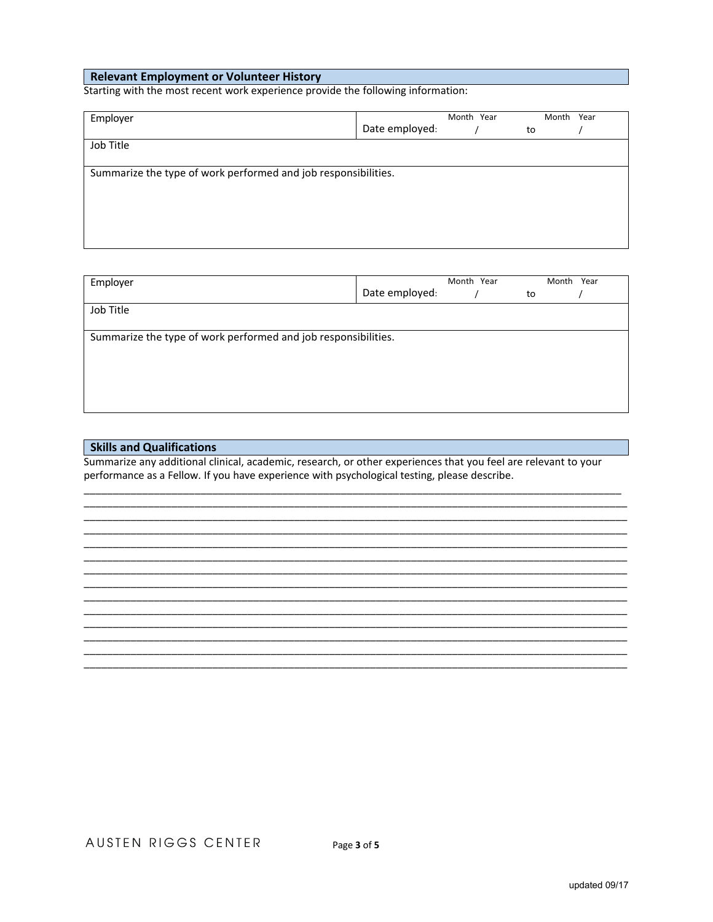### **Relevant Employment or Volunteer History**

Starting with the most recent work experience provide the following information:

| Month Year                                                     |  |    | Month Year |  |  |
|----------------------------------------------------------------|--|----|------------|--|--|
| Date employed:                                                 |  | to |            |  |  |
|                                                                |  |    |            |  |  |
|                                                                |  |    |            |  |  |
| Summarize the type of work performed and job responsibilities. |  |    |            |  |  |
|                                                                |  |    |            |  |  |
|                                                                |  |    |            |  |  |
|                                                                |  |    |            |  |  |
|                                                                |  |    |            |  |  |
|                                                                |  |    |            |  |  |

| Employer                                                       |                | Month Year |    | Month Year |  |
|----------------------------------------------------------------|----------------|------------|----|------------|--|
|                                                                | Date employed: |            | to |            |  |
| Job Title                                                      |                |            |    |            |  |
|                                                                |                |            |    |            |  |
| Summarize the type of work performed and job responsibilities. |                |            |    |            |  |
|                                                                |                |            |    |            |  |
|                                                                |                |            |    |            |  |
|                                                                |                |            |    |            |  |
|                                                                |                |            |    |            |  |

#### **Skills and Qualifications**

Summarize any additional clinical, academic, research, or other experiences that you feel are relevant to your performance as a Fellow. If you have experience with psychological testing, please describe.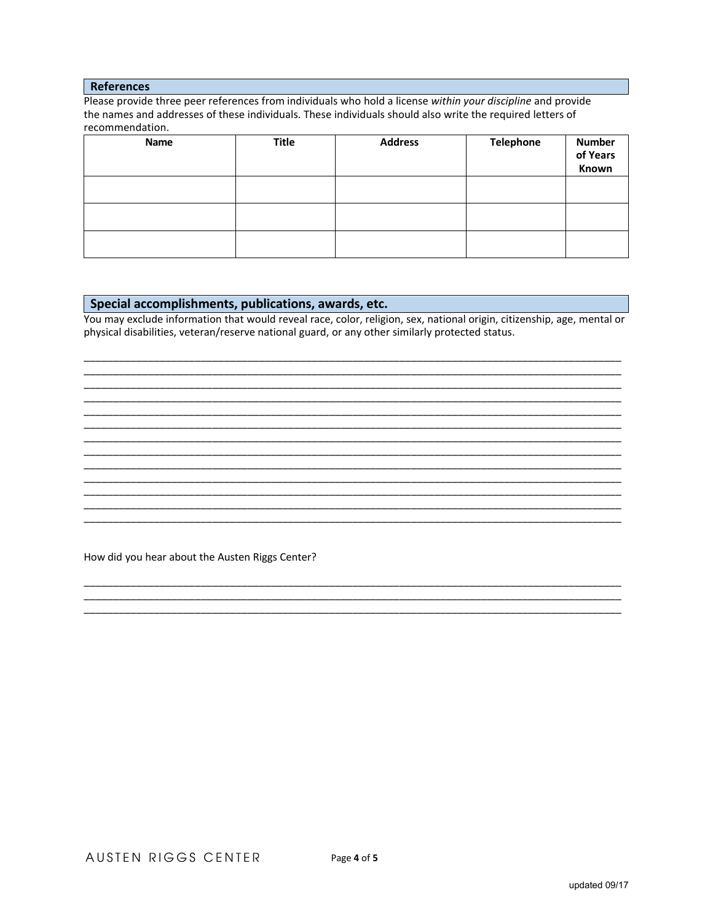#### **References**

Please provide three peer references from individuals who hold a license within your discipline and provide the names and addresses of these individuals. These individuals should also write the required letters of recommendation.

| Name | <b>Title</b> | <b>Address</b> | <b>Telephone</b> | <b>Number</b><br>of Years<br>Known |
|------|--------------|----------------|------------------|------------------------------------|
|      |              |                |                  |                                    |
|      |              |                |                  |                                    |
|      |              |                |                  |                                    |

#### Special accomplishments, publications, awards, etc. **Special accomplishments**, publications, awards, etc.

You may exclude information that would reveal race, color, religion, sex, national origin, citizenship, age, mental or physical disabilities, veteran/reserve national guard, or any other similarly protected status.

<u> 1989 - Johann Harry Harry Harry Harry Harry Harry Harry Harry Harry Harry Harry Harry Harry Harry Harry Harry</u>

<u> 1989 - Johann Harry Harry Harry Harry Harry Harry Harry Harry Harry Harry Harry Harry Harry Harry Harry Harry</u>

How did you hear about the Austen Riggs Center?